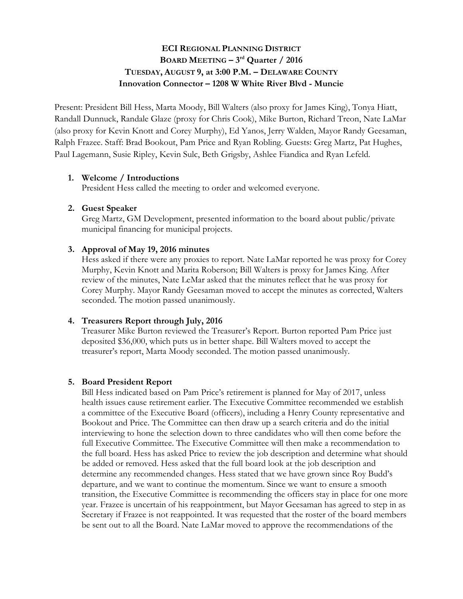# **ECI REGIONAL PLANNING DISTRICT BOARD MEETING – 3rd Quarter / 2016 TUESDAY, AUGUST 9, at 3:00 P.M. – DELAWARE COUNTY Innovation Connector – 1208 W White River Blvd - Muncie**

Present: President Bill Hess, Marta Moody, Bill Walters (also proxy for James King), Tonya Hiatt, Randall Dunnuck, Randale Glaze (proxy for Chris Cook), Mike Burton, Richard Treon, Nate LaMar (also proxy for Kevin Knott and Corey Murphy), Ed Yanos, Jerry Walden, Mayor Randy Geesaman, Ralph Frazee. Staff: Brad Bookout, Pam Price and Ryan Robling. Guests: Greg Martz, Pat Hughes, Paul Lagemann, Susie Ripley, Kevin Sulc, Beth Grigsby, Ashlee Fiandica and Ryan Lefeld.

#### **1. Welcome / Introductions**

President Hess called the meeting to order and welcomed everyone.

### **2. Guest Speaker**

Greg Martz, GM Development, presented information to the board about public/private municipal financing for municipal projects.

#### **3. Approval of May 19, 2016 minutes**

Hess asked if there were any proxies to report. Nate LaMar reported he was proxy for Corey Murphy, Kevin Knott and Marita Roberson; Bill Walters is proxy for James King. After review of the minutes, Nate LeMar asked that the minutes reflect that he was proxy for Corey Murphy. Mayor Randy Geesaman moved to accept the minutes as corrected, Walters seconded. The motion passed unanimously.

### **4. Treasurers Report through July, 2016**

Treasurer Mike Burton reviewed the Treasurer's Report. Burton reported Pam Price just deposited \$36,000, which puts us in better shape. Bill Walters moved to accept the treasurer's report, Marta Moody seconded. The motion passed unanimously.

#### **5. Board President Report**

Bill Hess indicated based on Pam Price's retirement is planned for May of 2017, unless health issues cause retirement earlier. The Executive Committee recommended we establish a committee of the Executive Board (officers), including a Henry County representative and Bookout and Price. The Committee can then draw up a search criteria and do the initial interviewing to hone the selection down to three candidates who will then come before the full Executive Committee. The Executive Committee will then make a recommendation to the full board. Hess has asked Price to review the job description and determine what should be added or removed. Hess asked that the full board look at the job description and determine any recommended changes. Hess stated that we have grown since Roy Budd's departure, and we want to continue the momentum. Since we want to ensure a smooth transition, the Executive Committee is recommending the officers stay in place for one more year. Frazee is uncertain of his reappointment, but Mayor Geesaman has agreed to step in as Secretary if Frazee is not reappointed. It was requested that the roster of the board members be sent out to all the Board. Nate LaMar moved to approve the recommendations of the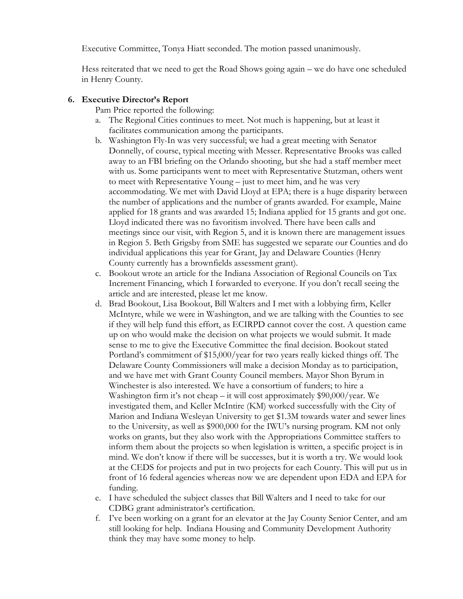Executive Committee, Tonya Hiatt seconded. The motion passed unanimously.

Hess reiterated that we need to get the Road Shows going again – we do have one scheduled in Henry County.

### **6. Executive Director's Report**

Pam Price reported the following:

- a. The Regional Cities continues to meet. Not much is happening, but at least it facilitates communication among the participants.
- b. Washington Fly-In was very successful; we had a great meeting with Senator Donnelly, of course, typical meeting with Messer. Representative Brooks was called away to an FBI briefing on the Orlando shooting, but she had a staff member meet with us. Some participants went to meet with Representative Stutzman, others went to meet with Representative Young – just to meet him, and he was very accommodating. We met with David Lloyd at EPA; there is a huge disparity between the number of applications and the number of grants awarded. For example, Maine applied for 18 grants and was awarded 15; Indiana applied for 15 grants and got one. Lloyd indicated there was no favoritism involved. There have been calls and meetings since our visit, with Region 5, and it is known there are management issues in Region 5. Beth Grigsby from SME has suggested we separate our Counties and do individual applications this year for Grant, Jay and Delaware Counties (Henry County currently has a brownfields assessment grant).
- c. Bookout wrote an article for the Indiana Association of Regional Councils on Tax Increment Financing, which I forwarded to everyone. If you don't recall seeing the article and are interested, please let me know.
- d. Brad Bookout, Lisa Bookout, Bill Walters and I met with a lobbying firm, Keller McIntyre, while we were in Washington, and we are talking with the Counties to see if they will help fund this effort, as ECIRPD cannot cover the cost. A question came up on who would make the decision on what projects we would submit. It made sense to me to give the Executive Committee the final decision. Bookout stated Portland's commitment of \$15,000/year for two years really kicked things off. The Delaware County Commissioners will make a decision Monday as to participation, and we have met with Grant County Council members. Mayor Shon Byrum in Winchester is also interested. We have a consortium of funders; to hire a Washington firm it's not cheap – it will cost approximately  $$90,000/year$ . We investigated them, and Keller McIntire (KM) worked successfully with the City of Marion and Indiana Wesleyan University to get \$1.3M towards water and sewer lines to the University, as well as \$900,000 for the IWU's nursing program. KM not only works on grants, but they also work with the Appropriations Committee staffers to inform them about the projects so when legislation is written, a specific project is in mind. We don't know if there will be successes, but it is worth a try. We would look at the CEDS for projects and put in two projects for each County. This will put us in front of 16 federal agencies whereas now we are dependent upon EDA and EPA for funding.
- e. I have scheduled the subject classes that Bill Walters and I need to take for our CDBG grant administrator's certification.
- f. I've been working on a grant for an elevator at the Jay County Senior Center, and am still looking for help. Indiana Housing and Community Development Authority think they may have some money to help.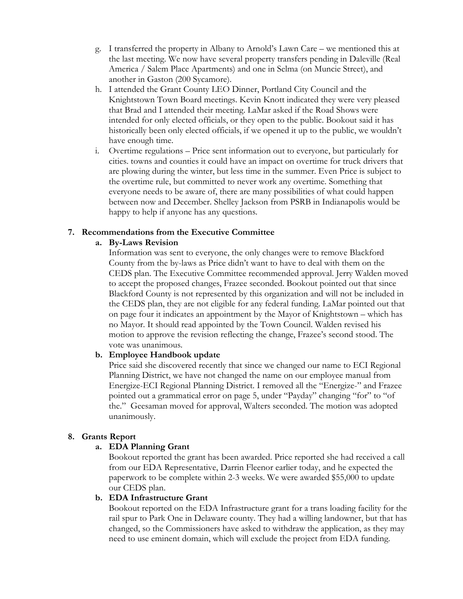- g. I transferred the property in Albany to Arnold's Lawn Care we mentioned this at the last meeting. We now have several property transfers pending in Daleville (Real America / Salem Place Apartments) and one in Selma (on Muncie Street), and another in Gaston (200 Sycamore).
- h. I attended the Grant County LEO Dinner, Portland City Council and the Knightstown Town Board meetings. Kevin Knott indicated they were very pleased that Brad and I attended their meeting. LaMar asked if the Road Shows were intended for only elected officials, or they open to the public. Bookout said it has historically been only elected officials, if we opened it up to the public, we wouldn't have enough time.
- i. Overtime regulations Price sent information out to everyone, but particularly for cities. towns and counties it could have an impact on overtime for truck drivers that are plowing during the winter, but less time in the summer. Even Price is subject to the overtime rule, but committed to never work any overtime. Something that everyone needs to be aware of, there are many possibilities of what could happen between now and December. Shelley Jackson from PSRB in Indianapolis would be happy to help if anyone has any questions.

### **7. Recommendations from the Executive Committee**

### **a. By-Laws Revision**

Information was sent to everyone, the only changes were to remove Blackford County from the by-laws as Price didn't want to have to deal with them on the CEDS plan. The Executive Committee recommended approval. Jerry Walden moved to accept the proposed changes, Frazee seconded. Bookout pointed out that since Blackford County is not represented by this organization and will not be included in the CEDS plan, they are not eligible for any federal funding. LaMar pointed out that on page four it indicates an appointment by the Mayor of Knightstown – which has no Mayor. It should read appointed by the Town Council. Walden revised his motion to approve the revision reflecting the change, Frazee's second stood. The vote was unanimous.

## **b. Employee Handbook update**

Price said she discovered recently that since we changed our name to ECI Regional Planning District, we have not changed the name on our employee manual from Energize-ECI Regional Planning District. I removed all the "Energize-" and Frazee pointed out a grammatical error on page 5, under "Payday" changing "for" to "of the." Geesaman moved for approval, Walters seconded. The motion was adopted unanimously.

### **8. Grants Report**

## **a. EDA Planning Grant**

Bookout reported the grant has been awarded. Price reported she had received a call from our EDA Representative, Darrin Fleenor earlier today, and he expected the paperwork to be complete within 2-3 weeks. We were awarded \$55,000 to update our CEDS plan.

### **b. EDA Infrastructure Grant**

Bookout reported on the EDA Infrastructure grant for a trans loading facility for the rail spur to Park One in Delaware county. They had a willing landowner, but that has changed, so the Commissioners have asked to withdraw the application, as they may need to use eminent domain, which will exclude the project from EDA funding.